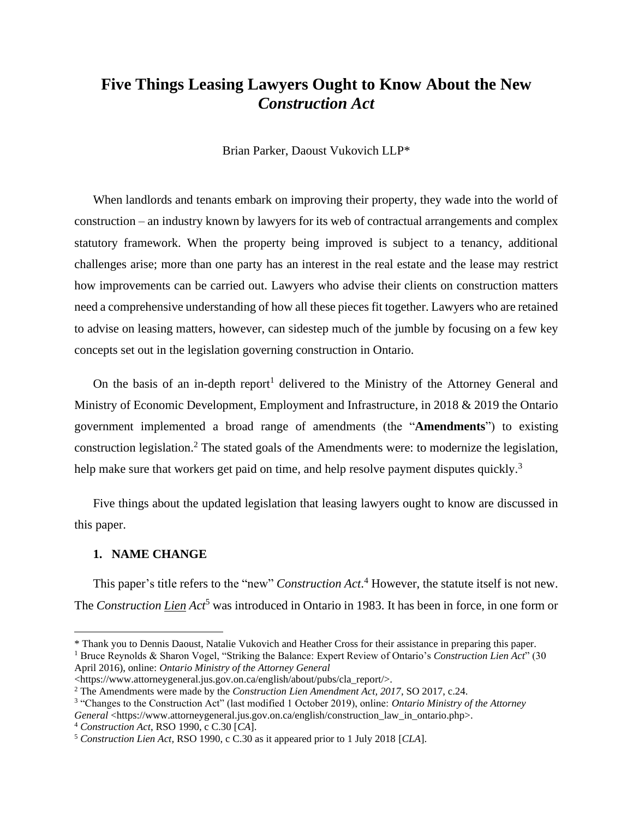# **Five Things Leasing Lawyers Ought to Know About the New**  *Construction Act*

Brian Parker, Daoust Vukovich LLP\*

When landlords and tenants embark on improving their property, they wade into the world of construction – an industry known by lawyers for its web of contractual arrangements and complex statutory framework. When the property being improved is subject to a tenancy, additional challenges arise; more than one party has an interest in the real estate and the lease may restrict how improvements can be carried out. Lawyers who advise their clients on construction matters need a comprehensive understanding of how all these pieces fit together. Lawyers who are retained to advise on leasing matters, however, can sidestep much of the jumble by focusing on a few key concepts set out in the legislation governing construction in Ontario.

On the basis of an in-depth report<sup>1</sup> delivered to the Ministry of the Attorney General and Ministry of Economic Development, Employment and Infrastructure, in 2018 & 2019 the Ontario government implemented a broad range of amendments (the "**Amendments**") to existing construction legislation.<sup>2</sup> The stated goals of the Amendments were: to modernize the legislation, help make sure that workers get paid on time, and help resolve payment disputes quickly.<sup>3</sup>

Five things about the updated legislation that leasing lawyers ought to know are discussed in this paper.

#### **1. NAME CHANGE**

This paper's title refers to the "new" *Construction Act*. <sup>4</sup> However, the statute itself is not new. The *Construction Lien Act*<sup>5</sup> was introduced in Ontario in 1983. It has been in force, in one form or

<sup>\*</sup> Thank you to Dennis Daoust, Natalie Vukovich and Heather Cross for their assistance in preparing this paper.

<sup>1</sup> Bruce Reynolds & Sharon Vogel, "Striking the Balance: Expert Review of Ontario's *Construction Lien Act*" (30 April 2016), online: *Ontario Ministry of the Attorney General*

<sup>&</sup>lt;https://www.attorneygeneral.jus.gov.on.ca/english/about/pubs/cla\_report/>.

<sup>2</sup> The Amendments were made by the *Construction Lien Amendment Act, 2017*, SO 2017, c.24.

<sup>3</sup> "Changes to the Construction Act" (last modified 1 October 2019), online: *Ontario Ministry of the Attorney General* <https://www.attorneygeneral.jus.gov.on.ca/english/construction\_law\_in\_ontario.php>.

<sup>4</sup> *Construction Act*, RSO 1990, c C.30 [*CA*].

<sup>5</sup> *Construction Lien Act,* RSO 1990, c C.30 as it appeared prior to 1 July 2018 [*CLA*].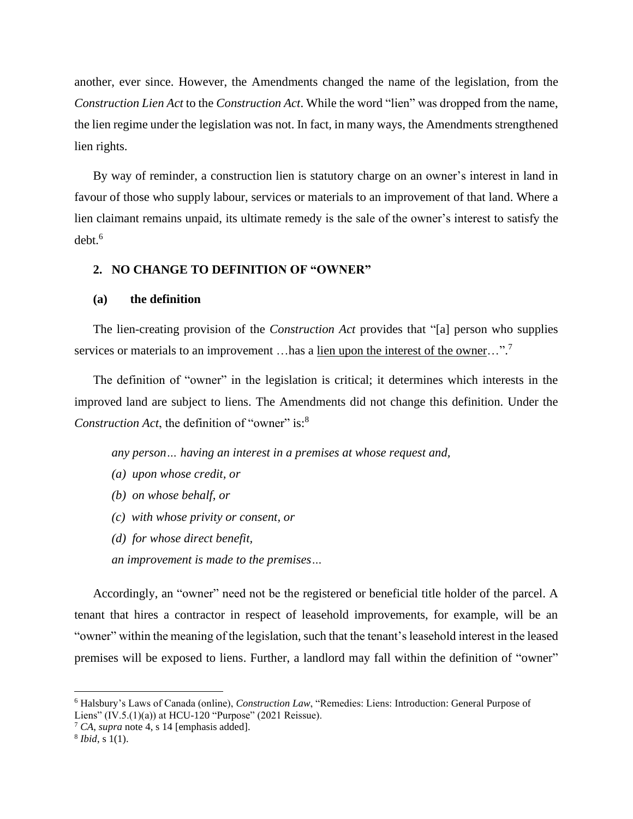another, ever since. However, the Amendments changed the name of the legislation, from the *Construction Lien Act* to the *Construction Act*. While the word "lien" was dropped from the name, the lien regime under the legislation was not. In fact, in many ways, the Amendments strengthened lien rights.

By way of reminder, a construction lien is statutory charge on an owner's interest in land in favour of those who supply labour, services or materials to an improvement of that land. Where a lien claimant remains unpaid, its ultimate remedy is the sale of the owner's interest to satisfy the  $debt.^6$ 

# **2. NO CHANGE TO DEFINITION OF "OWNER"**

# **(a) the definition**

The lien-creating provision of the *Construction Act* provides that "[a] person who supplies services or materials to an improvement ... has a lien upon the interest of the owner...".<sup>7</sup>

The definition of "owner" in the legislation is critical; it determines which interests in the improved land are subject to liens. The Amendments did not change this definition. Under the *Construction Act*, the definition of "owner" is:<sup>8</sup>

*any person… having an interest in a premises at whose request and,*

- *(a) upon whose credit, or*
- *(b) on whose behalf, or*
- *(c) with whose privity or consent, or*
- *(d) for whose direct benefit,*
- *an improvement is made to the premises…*

Accordingly, an "owner" need not be the registered or beneficial title holder of the parcel. A tenant that hires a contractor in respect of leasehold improvements, for example, will be an "owner" within the meaning of the legislation, such that the tenant's leasehold interest in the leased premises will be exposed to liens. Further, a landlord may fall within the definition of "owner"

<sup>7</sup> *CA*, *supra* note 4, s 14 [emphasis added].

<sup>6</sup> Halsbury's Laws of Canada (online), *Construction Law*, "Remedies: Liens: Introduction: General Purpose of Liens" (IV.5.(1)(a)) at HCU-120 "Purpose" (2021 Reissue).

<sup>8</sup> *Ibid*, s 1(1).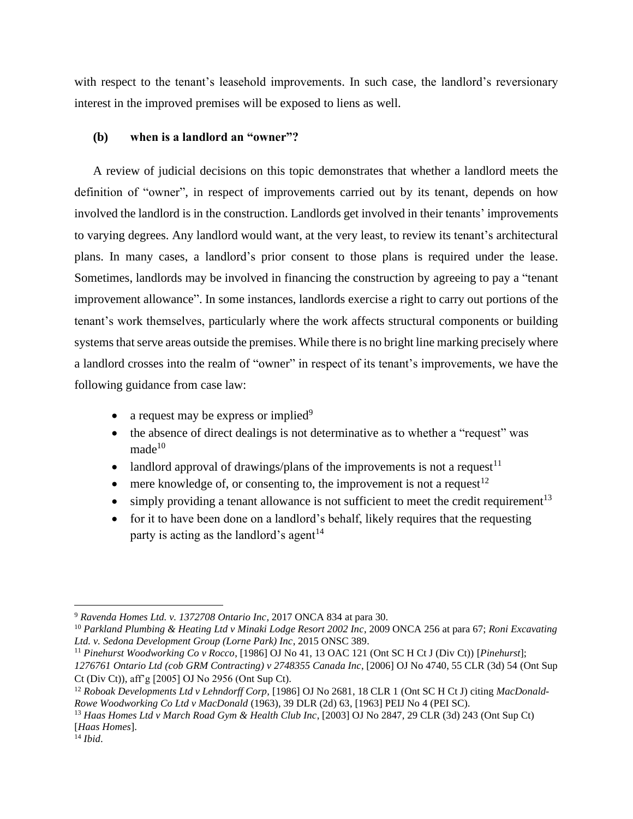with respect to the tenant's leasehold improvements. In such case, the landlord's reversionary interest in the improved premises will be exposed to liens as well.

# **(b) when is a landlord an "owner"?**

A review of judicial decisions on this topic demonstrates that whether a landlord meets the definition of "owner", in respect of improvements carried out by its tenant, depends on how involved the landlord is in the construction. Landlords get involved in their tenants' improvements to varying degrees. Any landlord would want, at the very least, to review its tenant's architectural plans. In many cases, a landlord's prior consent to those plans is required under the lease. Sometimes, landlords may be involved in financing the construction by agreeing to pay a "tenant improvement allowance". In some instances, landlords exercise a right to carry out portions of the tenant's work themselves, particularly where the work affects structural components or building systems that serve areas outside the premises. While there is no bright line marking precisely where a landlord crosses into the realm of "owner" in respect of its tenant's improvements, we have the following guidance from case law:

- a request may be express or implied $9$
- the absence of direct dealings is not determinative as to whether a "request" was  $made<sup>10</sup>$
- landlord approval of drawings/plans of the improvements is not a request  $11$
- mere knowledge of, or consenting to, the improvement is not a request  $12$
- simply providing a tenant allowance is not sufficient to meet the credit requirement<sup>13</sup>
- for it to have been done on a landlord's behalf, likely requires that the requesting party is acting as the landlord's agent<sup>14</sup>

<sup>9</sup> *Ravenda Homes Ltd. v. 1372708 Ontario Inc,* 2017 ONCA 834 at para 30.

<sup>10</sup> *Parkland Plumbing & Heating Ltd v Minaki Lodge Resort 2002 Inc*, 2009 ONCA 256 at para 67; *Roni Excavating Ltd. v. Sedona Development Group (Lorne Park) Inc*, 2015 ONSC 389.

<sup>11</sup> *Pinehurst Woodworking Co v Rocco*, [1986] OJ No 41, 13 OAC 121 (Ont SC H Ct J (Div Ct)) [*Pinehurst*]; *1276761 Ontario Ltd (cob GRM Contracting) v 2748355 Canada Inc*, [2006] OJ No 4740, 55 CLR (3d) 54 (Ont Sup Ct (Div Ct)), aff'g [2005] OJ No 2956 (Ont Sup Ct).

<sup>12</sup> *Roboak Developments Ltd v Lehndorff Corp,* [1986] OJ No 2681, 18 CLR 1 (Ont SC H Ct J) citing *MacDonald-Rowe Woodworking Co Ltd v MacDonald* (1963), 39 DLR (2d) 63, [1963] PEIJ No 4 (PEI SC).

<sup>13</sup> *Haas Homes Ltd v March Road Gym & Health Club Inc*, [2003] OJ No 2847, 29 CLR (3d) 243 (Ont Sup Ct) [*Haas Homes*].

<sup>14</sup> *Ibid*.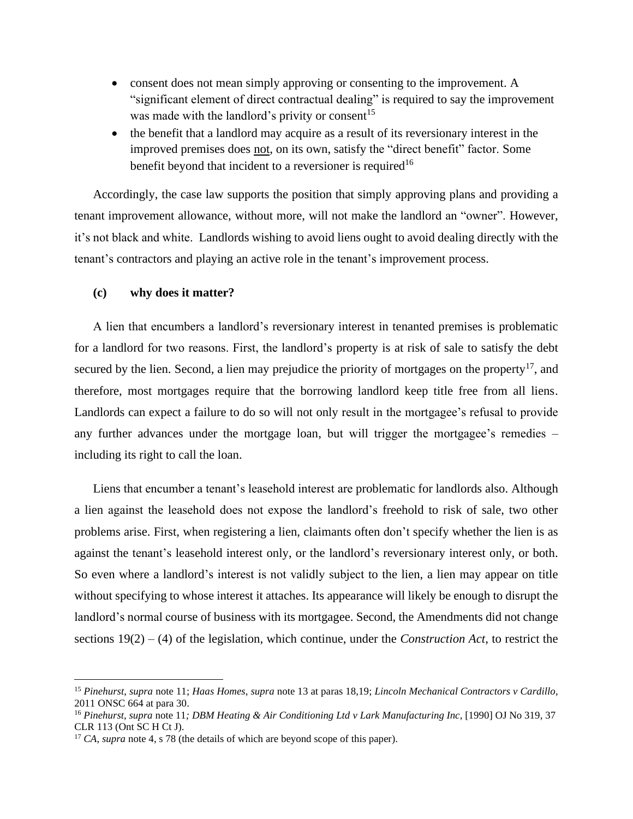- consent does not mean simply approving or consenting to the improvement. A "significant element of direct contractual dealing" is required to say the improvement was made with the landlord's privity or consent<sup>15</sup>
- the benefit that a landlord may acquire as a result of its reversionary interest in the improved premises does not, on its own, satisfy the "direct benefit" factor. Some benefit beyond that incident to a reversioner is required<sup>16</sup>

Accordingly, the case law supports the position that simply approving plans and providing a tenant improvement allowance, without more, will not make the landlord an "owner". However, it's not black and white. Landlords wishing to avoid liens ought to avoid dealing directly with the tenant's contractors and playing an active role in the tenant's improvement process.

# **(c) why does it matter?**

A lien that encumbers a landlord's reversionary interest in tenanted premises is problematic for a landlord for two reasons. First, the landlord's property is at risk of sale to satisfy the debt secured by the lien. Second, a lien may prejudice the priority of mortgages on the property<sup>17</sup>, and therefore, most mortgages require that the borrowing landlord keep title free from all liens. Landlords can expect a failure to do so will not only result in the mortgagee's refusal to provide any further advances under the mortgage loan, but will trigger the mortgagee's remedies – including its right to call the loan.

Liens that encumber a tenant's leasehold interest are problematic for landlords also. Although a lien against the leasehold does not expose the landlord's freehold to risk of sale, two other problems arise. First, when registering a lien, claimants often don't specify whether the lien is as against the tenant's leasehold interest only, or the landlord's reversionary interest only, or both. So even where a landlord's interest is not validly subject to the lien, a lien may appear on title without specifying to whose interest it attaches. Its appearance will likely be enough to disrupt the landlord's normal course of business with its mortgagee. Second, the Amendments did not change sections 19(2) – (4) of the legislation, which continue, under the *Construction Act*, to restrict the

<sup>15</sup> *Pinehurst*, *supra* note 11; *Haas Homes*, *supra* note 13 at paras 18,19; *Lincoln Mechanical Contractors v Cardillo*, 2011 ONSC 664 at para 30.

<sup>16</sup> *Pinehurst*, *supra* note 11*; DBM Heating & Air Conditioning Ltd v Lark Manufacturing Inc*, [1990] OJ No 319, 37 CLR 113 (Ont SC H Ct J).

<sup>&</sup>lt;sup>17</sup> *CA*, *supra* note 4, s 78 (the details of which are beyond scope of this paper).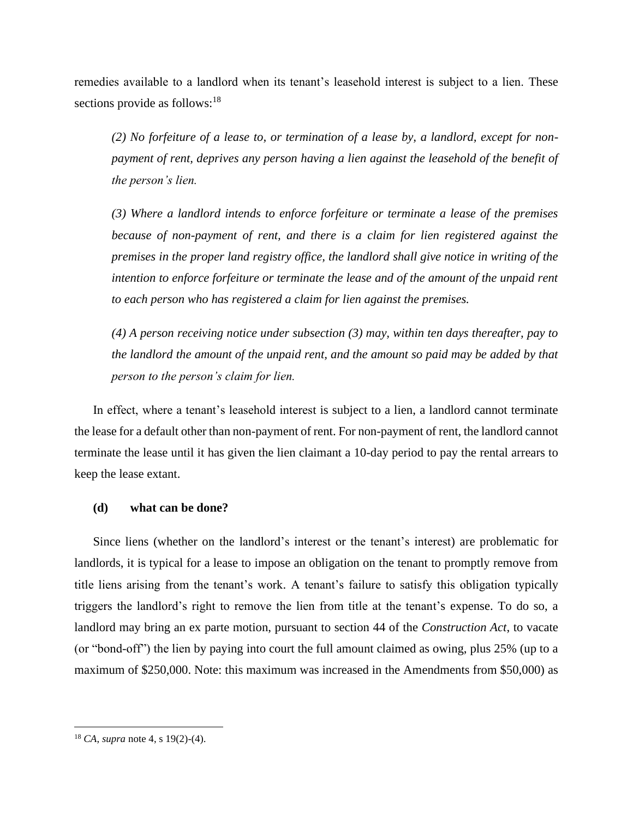remedies available to a landlord when its tenant's leasehold interest is subject to a lien. These sections provide as follows: $18$ 

*(2) No forfeiture of a lease to, or termination of a lease by, a landlord, except for nonpayment of rent, deprives any person having a lien against the leasehold of the benefit of the person's lien.*

*(3) Where a landlord intends to enforce forfeiture or terminate a lease of the premises because of non-payment of rent, and there is a claim for lien registered against the premises in the proper land registry office, the landlord shall give notice in writing of the intention to enforce forfeiture or terminate the lease and of the amount of the unpaid rent to each person who has registered a claim for lien against the premises.*

*(4) A person receiving notice under subsection (3) may, within ten days thereafter, pay to the landlord the amount of the unpaid rent, and the amount so paid may be added by that person to the person's claim for lien.*

In effect, where a tenant's leasehold interest is subject to a lien, a landlord cannot terminate the lease for a default other than non-payment of rent. For non-payment of rent, the landlord cannot terminate the lease until it has given the lien claimant a 10-day period to pay the rental arrears to keep the lease extant.

# **(d) what can be done?**

Since liens (whether on the landlord's interest or the tenant's interest) are problematic for landlords, it is typical for a lease to impose an obligation on the tenant to promptly remove from title liens arising from the tenant's work. A tenant's failure to satisfy this obligation typically triggers the landlord's right to remove the lien from title at the tenant's expense. To do so, a landlord may bring an ex parte motion, pursuant to section 44 of the *Construction Act*, to vacate (or "bond-off") the lien by paying into court the full amount claimed as owing, plus 25% (up to a maximum of \$250,000. Note: this maximum was increased in the Amendments from \$50,000) as

<sup>18</sup> *CA*, *supra* note 4, s 19(2)-(4).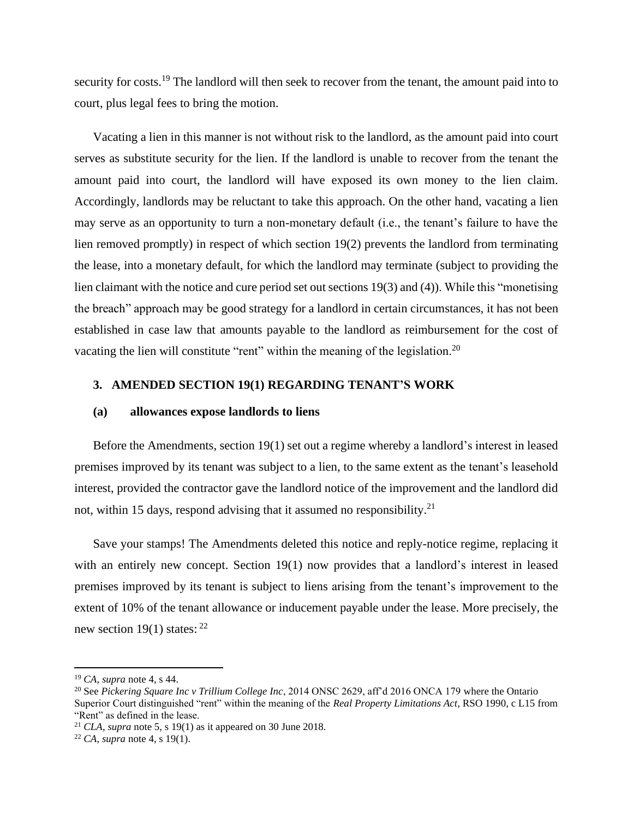security for costs.<sup>19</sup> The landlord will then seek to recover from the tenant, the amount paid into to court, plus legal fees to bring the motion.

Vacating a lien in this manner is not without risk to the landlord, as the amount paid into court serves as substitute security for the lien. If the landlord is unable to recover from the tenant the amount paid into court, the landlord will have exposed its own money to the lien claim. Accordingly, landlords may be reluctant to take this approach. On the other hand, vacating a lien may serve as an opportunity to turn a non-monetary default (i.e., the tenant's failure to have the lien removed promptly) in respect of which section 19(2) prevents the landlord from terminating the lease, into a monetary default, for which the landlord may terminate (subject to providing the lien claimant with the notice and cure period set out sections 19(3) and (4)). While this "monetising the breach" approach may be good strategy for a landlord in certain circumstances, it has not been established in case law that amounts payable to the landlord as reimbursement for the cost of vacating the lien will constitute "rent" within the meaning of the legislation.<sup>20</sup>

# **3. AMENDED SECTION 19(1) REGARDING TENANT'S WORK**

#### **(a) allowances expose landlords to liens**

Before the Amendments, section 19(1) set out a regime whereby a landlord's interest in leased premises improved by its tenant was subject to a lien, to the same extent as the tenant's leasehold interest, provided the contractor gave the landlord notice of the improvement and the landlord did not, within 15 days, respond advising that it assumed no responsibility.<sup>21</sup>

Save your stamps! The Amendments deleted this notice and reply-notice regime, replacing it with an entirely new concept. Section 19(1) now provides that a landlord's interest in leased premises improved by its tenant is subject to liens arising from the tenant's improvement to the extent of 10% of the tenant allowance or inducement payable under the lease. More precisely, the new section 19(1) states:  $22$ 

<sup>19</sup> *CA*, *supra* note 4, s 44.

<sup>20</sup> See *Pickering Square Inc v Trillium College Inc*, 2014 ONSC 2629, aff'd 2016 ONCA 179 where the Ontario Superior Court distinguished "rent" within the meaning of the *Real Property Limitations Act*, RSO 1990, c L15 from "Rent" as defined in the lease.

<sup>&</sup>lt;sup>21</sup> *CLA*, *supra* note 5, s 19(1) as it appeared on 30 June 2018.

<sup>22</sup> *CA*, *supra* note 4, s 19(1).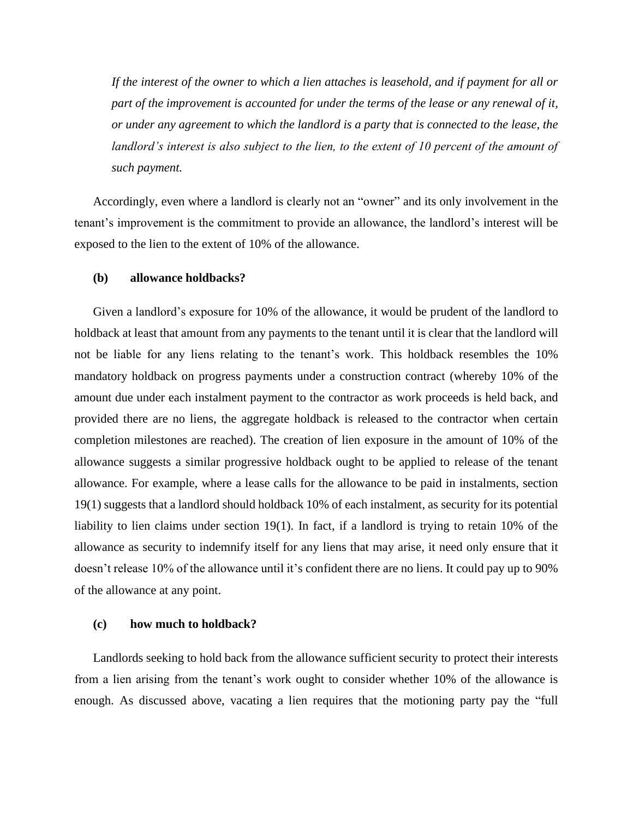*If the interest of the owner to which a lien attaches is leasehold, and if payment for all or part of the improvement is accounted for under the terms of the lease or any renewal of it, or under any agreement to which the landlord is a party that is connected to the lease, the landlord's interest is also subject to the lien, to the extent of 10 percent of the amount of such payment.*

Accordingly, even where a landlord is clearly not an "owner" and its only involvement in the tenant's improvement is the commitment to provide an allowance, the landlord's interest will be exposed to the lien to the extent of 10% of the allowance.

## **(b) allowance holdbacks?**

Given a landlord's exposure for 10% of the allowance, it would be prudent of the landlord to holdback at least that amount from any payments to the tenant until it is clear that the landlord will not be liable for any liens relating to the tenant's work. This holdback resembles the 10% mandatory holdback on progress payments under a construction contract (whereby 10% of the amount due under each instalment payment to the contractor as work proceeds is held back, and provided there are no liens, the aggregate holdback is released to the contractor when certain completion milestones are reached). The creation of lien exposure in the amount of 10% of the allowance suggests a similar progressive holdback ought to be applied to release of the tenant allowance. For example, where a lease calls for the allowance to be paid in instalments, section 19(1) suggests that a landlord should holdback 10% of each instalment, as security for its potential liability to lien claims under section 19(1). In fact, if a landlord is trying to retain 10% of the allowance as security to indemnify itself for any liens that may arise, it need only ensure that it doesn't release 10% of the allowance until it's confident there are no liens. It could pay up to 90% of the allowance at any point.

### **(c) how much to holdback?**

Landlords seeking to hold back from the allowance sufficient security to protect their interests from a lien arising from the tenant's work ought to consider whether 10% of the allowance is enough. As discussed above, vacating a lien requires that the motioning party pay the "full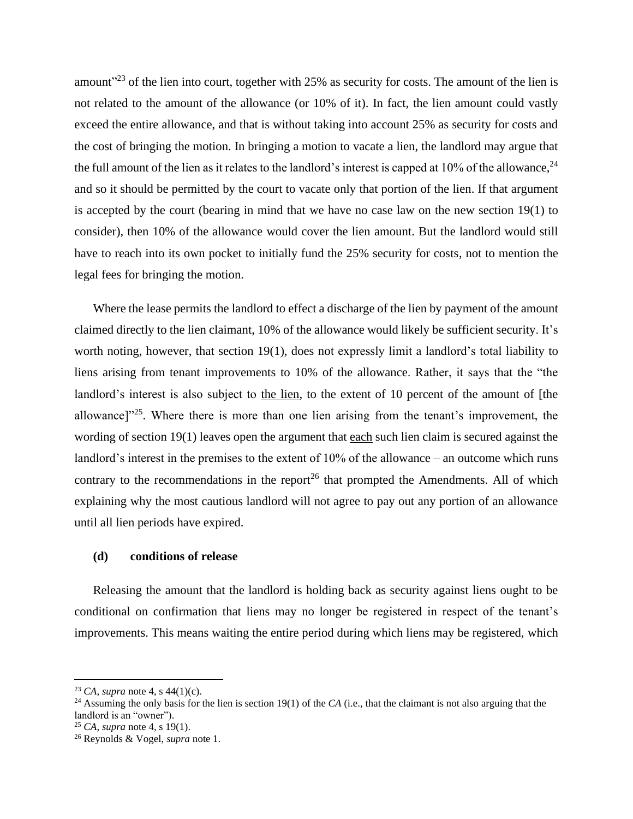amount<sup>"23</sup> of the lien into court, together with 25% as security for costs. The amount of the lien is not related to the amount of the allowance (or 10% of it). In fact, the lien amount could vastly exceed the entire allowance, and that is without taking into account 25% as security for costs and the cost of bringing the motion. In bringing a motion to vacate a lien, the landlord may argue that the full amount of the lien as it relates to the landlord's interest is capped at 10% of the allowance,  $^{24}$ and so it should be permitted by the court to vacate only that portion of the lien. If that argument is accepted by the court (bearing in mind that we have no case law on the new section 19(1) to consider), then 10% of the allowance would cover the lien amount. But the landlord would still have to reach into its own pocket to initially fund the 25% security for costs, not to mention the legal fees for bringing the motion.

Where the lease permits the landlord to effect a discharge of the lien by payment of the amount claimed directly to the lien claimant, 10% of the allowance would likely be sufficient security. It's worth noting, however, that section 19(1), does not expressly limit a landlord's total liability to liens arising from tenant improvements to 10% of the allowance. Rather, it says that the "the landlord's interest is also subject to the lien, to the extent of 10 percent of the amount of [the allowance]<sup>225</sup>. Where there is more than one lien arising from the tenant's improvement, the wording of section 19(1) leaves open the argument that each such lien claim is secured against the landlord's interest in the premises to the extent of 10% of the allowance – an outcome which runs contrary to the recommendations in the report<sup>26</sup> that prompted the Amendments. All of which explaining why the most cautious landlord will not agree to pay out any portion of an allowance until all lien periods have expired.

# **(d) conditions of release**

Releasing the amount that the landlord is holding back as security against liens ought to be conditional on confirmation that liens may no longer be registered in respect of the tenant's improvements. This means waiting the entire period during which liens may be registered, which

<sup>23</sup> *CA*, *supra* note 4, s 44(1)(c).

<sup>&</sup>lt;sup>24</sup> Assuming the only basis for the lien is section 19(1) of the *CA* (i.e., that the claimant is not also arguing that the landlord is an "owner").

<sup>25</sup> *CA*, *supra* note 4, s 19(1).

<sup>26</sup> Reynolds & Vogel, *supra* note 1.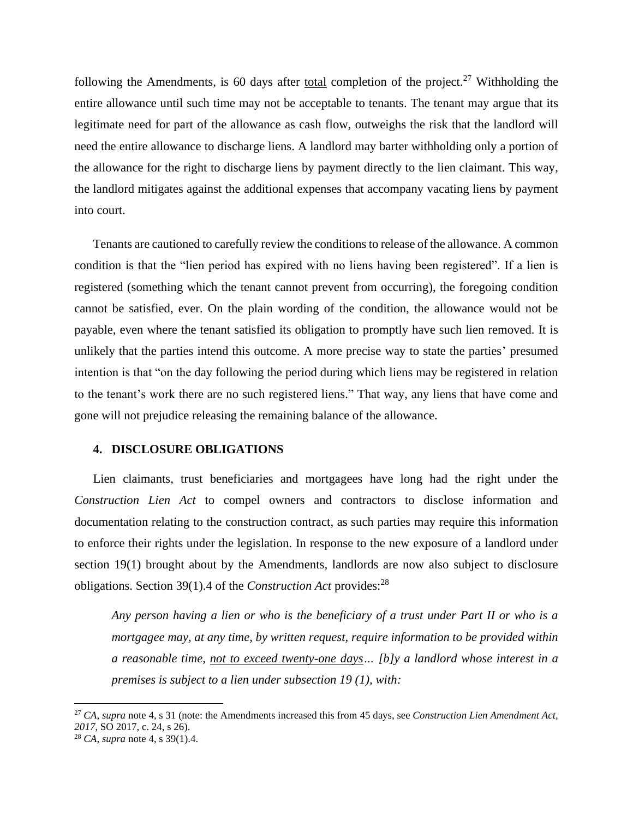following the Amendments, is 60 days after total completion of the project.<sup>27</sup> Withholding the entire allowance until such time may not be acceptable to tenants. The tenant may argue that its legitimate need for part of the allowance as cash flow, outweighs the risk that the landlord will need the entire allowance to discharge liens. A landlord may barter withholding only a portion of the allowance for the right to discharge liens by payment directly to the lien claimant. This way, the landlord mitigates against the additional expenses that accompany vacating liens by payment into court.

Tenants are cautioned to carefully review the conditions to release of the allowance. A common condition is that the "lien period has expired with no liens having been registered". If a lien is registered (something which the tenant cannot prevent from occurring), the foregoing condition cannot be satisfied, ever. On the plain wording of the condition, the allowance would not be payable, even where the tenant satisfied its obligation to promptly have such lien removed. It is unlikely that the parties intend this outcome. A more precise way to state the parties' presumed intention is that "on the day following the period during which liens may be registered in relation to the tenant's work there are no such registered liens." That way, any liens that have come and gone will not prejudice releasing the remaining balance of the allowance.

# **4. DISCLOSURE OBLIGATIONS**

Lien claimants, trust beneficiaries and mortgagees have long had the right under the *Construction Lien Act* to compel owners and contractors to disclose information and documentation relating to the construction contract, as such parties may require this information to enforce their rights under the legislation. In response to the new exposure of a landlord under section 19(1) brought about by the Amendments, landlords are now also subject to disclosure obligations. Section 39(1).4 of the *Construction Act* provides:<sup>28</sup>

*Any person having a lien or who is the beneficiary of a trust under Part II or who is a mortgagee may, at any time, by written request, require information to be provided within a reasonable time, not to exceed twenty-one days… [b]y a landlord whose interest in a premises is subject to a lien under subsection 19 (1), with:*

<sup>27</sup> *CA*, *supra* note 4, s 31 (note: the Amendments increased this from 45 days, see *Construction Lien Amendment Act, 2017*, SO 2017, c. 24, s 26).

<sup>28</sup> *CA*, *supra* note 4, s 39(1).4.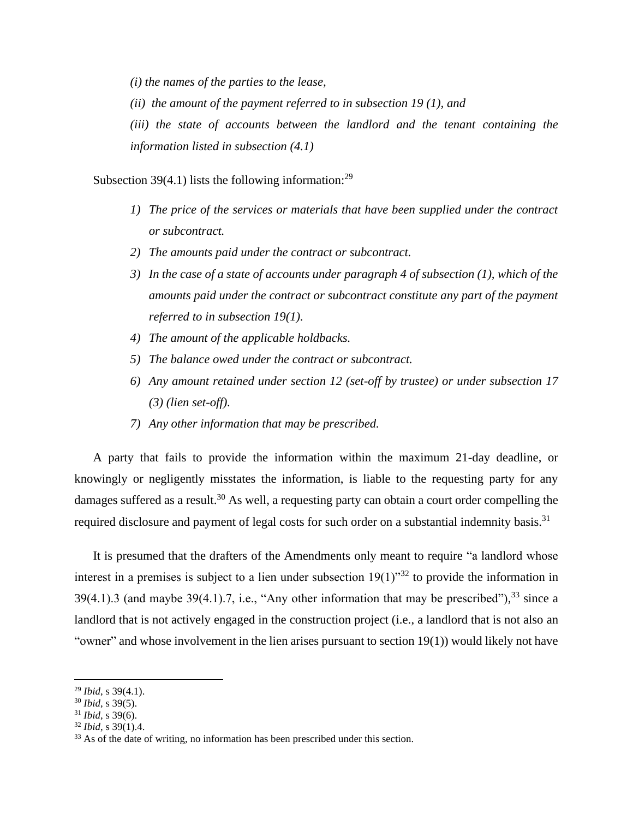*(i) the names of the parties to the lease,*

*(ii) the amount of the payment referred to in subsection 19 (1), and*

*(iii) the state of accounts between the landlord and the tenant containing the information listed in subsection (4.1)*

Subsection 39(4.1) lists the following information:<sup>29</sup>

- *1) The price of the services or materials that have been supplied under the contract or subcontract.*
- *2) The amounts paid under the contract or subcontract.*
- *3) In the case of a state of accounts under paragraph 4 of subsection (1), which of the amounts paid under the contract or subcontract constitute any part of the payment referred to in subsection 19(1).*
- *4) The amount of the applicable holdbacks.*
- *5) The balance owed under the contract or subcontract.*
- *6) Any amount retained under section 12 (set-off by trustee) or under subsection 17 (3) (lien set-off).*
- *7) Any other information that may be prescribed.*

A party that fails to provide the information within the maximum 21-day deadline, or knowingly or negligently misstates the information, is liable to the requesting party for any damages suffered as a result.<sup>30</sup> As well, a requesting party can obtain a court order compelling the required disclosure and payment of legal costs for such order on a substantial indemnity basis.<sup>31</sup>

It is presumed that the drafters of the Amendments only meant to require "a landlord whose interest in a premises is subject to a lien under subsection  $19(1)^{32}$  to provide the information in  $39(4.1)$ .3 (and maybe  $39(4.1)$ .7, i.e., "Any other information that may be prescribed"),  $33$  since a landlord that is not actively engaged in the construction project (i.e., a landlord that is not also an "owner" and whose involvement in the lien arises pursuant to section 19(1)) would likely not have

<sup>29</sup> *Ibid*, s 39(4.1).

<sup>30</sup> *Ibid*, s 39(5).

<sup>31</sup> *Ibid*, s 39(6).

<sup>32</sup> *Ibid*, s 39(1).4.

<sup>&</sup>lt;sup>33</sup> As of the date of writing, no information has been prescribed under this section.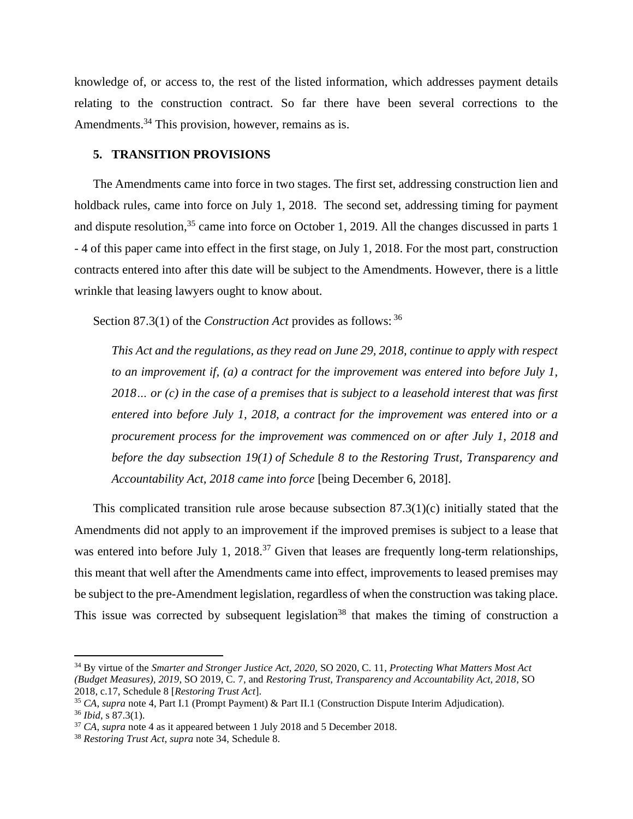knowledge of, or access to, the rest of the listed information, which addresses payment details relating to the construction contract. So far there have been several corrections to the Amendments.<sup>34</sup> This provision, however, remains as is.

# **5. TRANSITION PROVISIONS**

The Amendments came into force in two stages. The first set, addressing construction lien and holdback rules, came into force on July 1, 2018. The second set, addressing timing for payment and dispute resolution,<sup>35</sup> came into force on October 1, 2019. All the changes discussed in parts 1 - 4 of this paper came into effect in the first stage, on July 1, 2018. For the most part, construction contracts entered into after this date will be subject to the Amendments. However, there is a little wrinkle that leasing lawyers ought to know about.

Section 87.3(1) of the *Construction Act* provides as follows: <sup>36</sup>

*This Act and the regulations, as they read on June 29, 2018, continue to apply with respect to an improvement if, (a) a contract for the improvement was entered into before July 1, 2018… or (c) in the case of a premises that is subject to a leasehold interest that was first entered into before July 1, 2018, a contract for the improvement was entered into or a procurement process for the improvement was commenced on or after July 1, 2018 and before the day subsection 19(1) of Schedule 8 to the Restoring Trust, Transparency and Accountability Act, 2018 came into force* [being December 6, 2018].

This complicated transition rule arose because subsection  $87.3(1)(c)$  initially stated that the Amendments did not apply to an improvement if the improved premises is subject to a lease that was entered into before July 1, 2018.<sup>37</sup> Given that leases are frequently long-term relationships, this meant that well after the Amendments came into effect, improvements to leased premises may be subject to the pre-Amendment legislation, regardless of when the construction was taking place. This issue was corrected by subsequent legislation<sup>38</sup> that makes the timing of construction a

<sup>34</sup> By virtue of the *Smarter and Stronger Justice Act, 2020,* SO 2020, C. 11, *Protecting What Matters Most Act (Budget Measures), 2019*, SO 2019, C. 7, and *Restoring Trust, Transparency and Accountability Act, 2018*, SO 2018, c.17, Schedule 8 [*Restoring Trust Act*].

<sup>35</sup> *CA*, *supra* note 4, Part I.1 (Prompt Payment) & Part II.1 (Construction Dispute Interim Adjudication). <sup>36</sup> *Ibid*, s 87.3(1).

<sup>37</sup> *CA*, *supra* note 4 as it appeared between 1 July 2018 and 5 December 2018.

<sup>38</sup> *Restoring Trust Act*, *supra* note 34, Schedule 8.